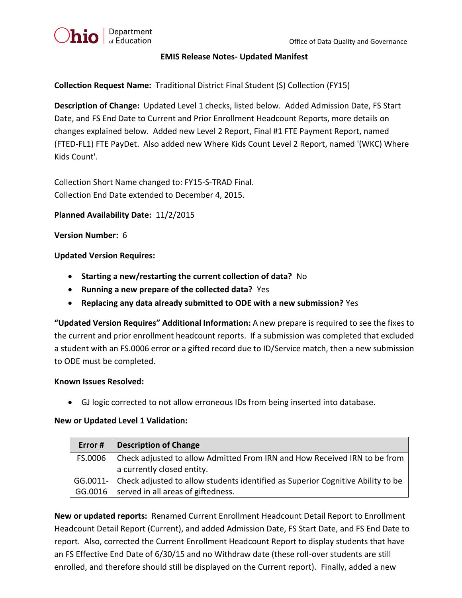### **EMIS Release Notes- Updated Manifest**

**Collection Request Name:** Traditional District Final Student (S) Collection (FY15)

**Description of Change:** Updated Level 1 checks, listed below. Added Admission Date, FS Start Date, and FS End Date to Current and Prior Enrollment Headcount Reports, more details on changes explained below. Added new Level 2 Report, Final #1 FTE Payment Report, named (FTED-FL1) FTE PayDet. Also added new Where Kids Count Level 2 Report, named '(WKC) Where Kids Count'.

Collection Short Name changed to: FY15-S-TRAD Final. Collection End Date extended to December 4, 2015.

# **Planned Availability Date:** 11/2/2015

### **Version Number:** 6

### **Updated Version Requires:**

- **Starting a new/restarting the current collection of data?** No
- **Running a new prepare of the collected data?** Yes
- **Replacing any data already submitted to ODE with a new submission?** Yes

**"Updated Version Requires" Additional Information:** A new prepare is required to see the fixes to the current and prior enrollment headcount reports. If a submission was completed that excluded a student with an FS.0006 error or a gifted record due to ID/Service match, then a new submission to ODE must be completed.

#### **Known Issues Resolved:**

GJ logic corrected to not allow erroneous IDs from being inserted into database.

# **New or Updated Level 1 Validation:**

| Error # | <b>Description of Change</b>                                                               |
|---------|--------------------------------------------------------------------------------------------|
| FS.0006 | Check adjusted to allow Admitted From IRN and How Received IRN to be from                  |
|         | a currently closed entity.                                                                 |
|         | GG.0011-   Check adjusted to allow students identified as Superior Cognitive Ability to be |
| GG.0016 | served in all areas of giftedness.                                                         |

**New or updated reports:** Renamed Current Enrollment Headcount Detail Report to Enrollment Headcount Detail Report (Current), and added Admission Date, FS Start Date, and FS End Date to report. Also, corrected the Current Enrollment Headcount Report to display students that have an FS Effective End Date of 6/30/15 and no Withdraw date (these roll-over students are still enrolled, and therefore should still be displayed on the Current report). Finally, added a new